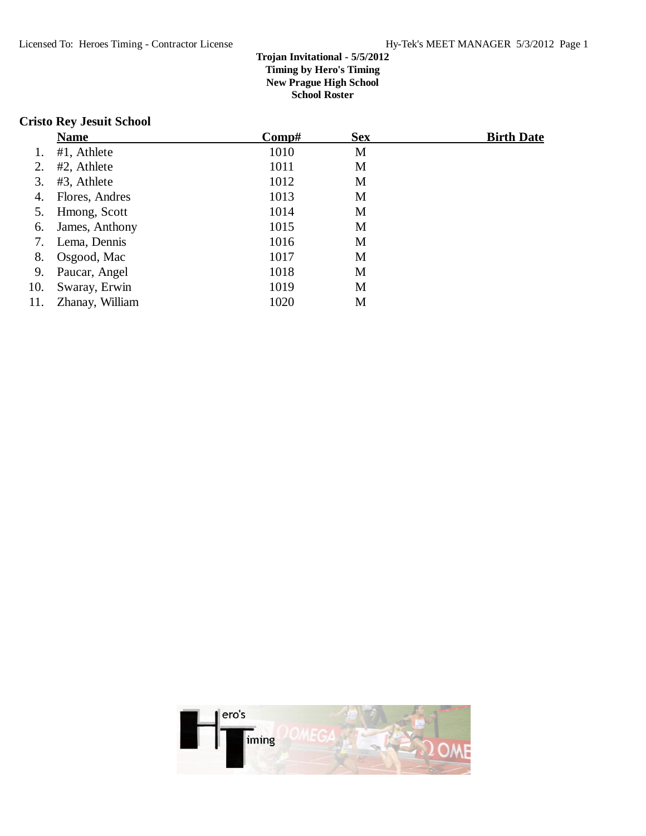## **Cristo Rey Jesuit School**

|     | <b>Name</b>     | Comp# | <b>Sex</b> | <b>Birth Date</b> |
|-----|-----------------|-------|------------|-------------------|
|     | #1, Athlete     | 1010  | M          |                   |
| 2.  | #2, Athlete     | 1011  | M          |                   |
| 3.  | #3, Athlete     | 1012  | M          |                   |
| 4.  | Flores, Andres  | 1013  | M          |                   |
| 5.  | Hmong, Scott    | 1014  | M          |                   |
| 6.  | James, Anthony  | 1015  | M          |                   |
| 7.  | Lema, Dennis    | 1016  | M          |                   |
| 8.  | Osgood, Mac     | 1017  | M          |                   |
| 9.  | Paucar, Angel   | 1018  | M          |                   |
| 10. | Swaray, Erwin   | 1019  | M          |                   |
| 11. | Zhanay, William | 1020  | M          |                   |

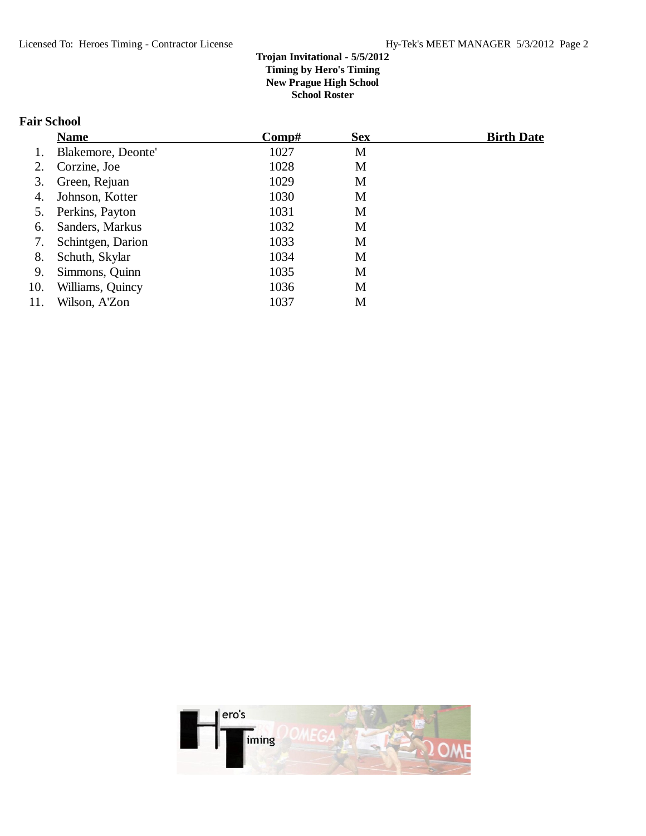# **Fair School**

|     | <b>Name</b>        | Comp# | <b>Sex</b> | <b>Birth Date</b> |
|-----|--------------------|-------|------------|-------------------|
|     | Blakemore, Deonte' | 1027  | M          |                   |
| 2.  | Corzine, Joe       | 1028  | M          |                   |
| 3.  | Green, Rejuan      | 1029  | M          |                   |
| 4.  | Johnson, Kotter    | 1030  | M          |                   |
| 5.  | Perkins, Payton    | 1031  | M          |                   |
| 6.  | Sanders, Markus    | 1032  | M          |                   |
| 7.  | Schintgen, Darion  | 1033  | M          |                   |
| 8.  | Schuth, Skylar     | 1034  | M          |                   |
| 9.  | Simmons, Quinn     | 1035  | M          |                   |
| 10. | Williams, Quincy   | 1036  | M          |                   |
| 11. | Wilson, A'Zon      | 1037  | M          |                   |

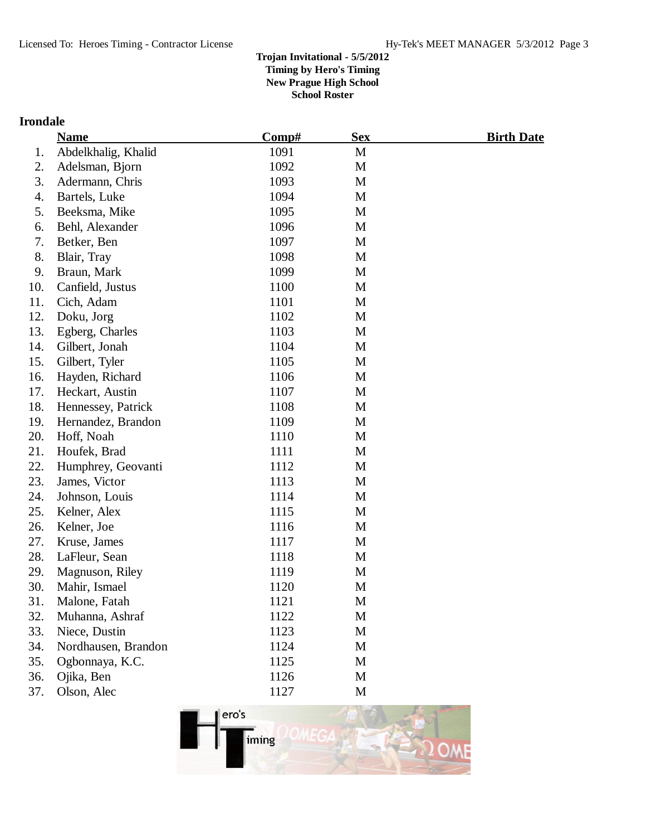# **Irondale**

|     | <b>Name</b>         | Comp# | <b>Sex</b> | <u>Birth Date</u> |
|-----|---------------------|-------|------------|-------------------|
| 1.  | Abdelkhalig, Khalid | 1091  | M          |                   |
| 2.  | Adelsman, Bjorn     | 1092  | M          |                   |
| 3.  | Adermann, Chris     | 1093  | M          |                   |
| 4.  | Bartels, Luke       | 1094  | M          |                   |
| 5.  | Beeksma, Mike       | 1095  | M          |                   |
| 6.  | Behl, Alexander     | 1096  | M          |                   |
| 7.  | Betker, Ben         | 1097  | M          |                   |
| 8.  | Blair, Tray         | 1098  | M          |                   |
| 9.  | Braun, Mark         | 1099  | M          |                   |
| 10. | Canfield, Justus    | 1100  | M          |                   |
| 11. | Cich, Adam          | 1101  | M          |                   |
| 12. | Doku, Jorg          | 1102  | M          |                   |
| 13. | Egberg, Charles     | 1103  | M          |                   |
| 14. | Gilbert, Jonah      | 1104  | M          |                   |
| 15. | Gilbert, Tyler      | 1105  | M          |                   |
| 16. | Hayden, Richard     | 1106  | M          |                   |
| 17. | Heckart, Austin     | 1107  | M          |                   |
| 18. | Hennessey, Patrick  | 1108  | M          |                   |
| 19. | Hernandez, Brandon  | 1109  | M          |                   |
| 20. | Hoff, Noah          | 1110  | M          |                   |
| 21. | Houfek, Brad        | 1111  | M          |                   |
| 22. | Humphrey, Geovanti  | 1112  | M          |                   |
| 23. | James, Victor       | 1113  | M          |                   |
| 24. | Johnson, Louis      | 1114  | M          |                   |
| 25. | Kelner, Alex        | 1115  | M          |                   |
| 26. | Kelner, Joe         | 1116  | M          |                   |
| 27. | Kruse, James        | 1117  | M          |                   |
| 28. | LaFleur, Sean       | 1118  | M          |                   |
| 29. | Magnuson, Riley     | 1119  | M          |                   |
| 30. | Mahir, Ismael       | 1120  | M          |                   |
| 31. | Malone, Fatah       | 1121  | M          |                   |
| 32. | Muhanna, Ashraf     | 1122  | M          |                   |
| 33. | Niece, Dustin       | 1123  | M          |                   |
| 34. | Nordhausen, Brandon | 1124  | M          |                   |
| 35. | Ogbonnaya, K.C.     | 1125  | M          |                   |
| 36. | Ojika, Ben          | 1126  | M          |                   |
| 37. | Olson, Alec         | 1127  | M          |                   |

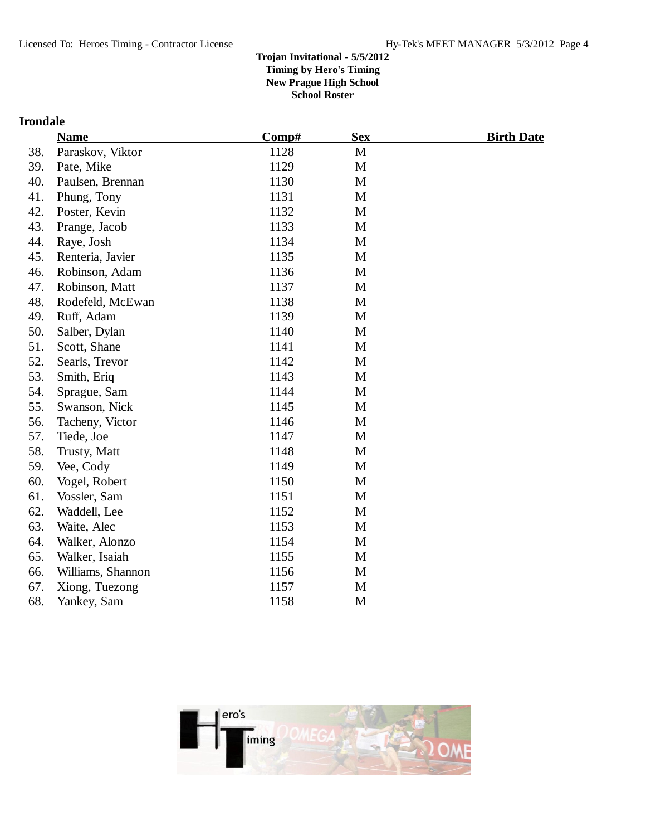# **Irondale**

|     | <b>Name</b>       | Comp# | <b>Sex</b>  | <b>Birth Date</b> |
|-----|-------------------|-------|-------------|-------------------|
| 38. | Paraskov, Viktor  | 1128  | M           |                   |
| 39. | Pate, Mike        | 1129  | $\mathbf M$ |                   |
| 40. | Paulsen, Brennan  | 1130  | $\mathbf M$ |                   |
| 41. | Phung, Tony       | 1131  | M           |                   |
| 42. | Poster, Kevin     | 1132  | M           |                   |
| 43. | Prange, Jacob     | 1133  | M           |                   |
| 44. | Raye, Josh        | 1134  | M           |                   |
| 45. | Renteria, Javier  | 1135  | M           |                   |
| 46. | Robinson, Adam    | 1136  | M           |                   |
| 47. | Robinson, Matt    | 1137  | M           |                   |
| 48. | Rodefeld, McEwan  | 1138  | M           |                   |
| 49. | Ruff, Adam        | 1139  | M           |                   |
| 50. | Salber, Dylan     | 1140  | M           |                   |
| 51. | Scott, Shane      | 1141  | $\mathbf M$ |                   |
| 52. | Searls, Trevor    | 1142  | M           |                   |
| 53. | Smith, Eriq       | 1143  | M           |                   |
| 54. | Sprague, Sam      | 1144  | M           |                   |
| 55. | Swanson, Nick     | 1145  | M           |                   |
| 56. | Tacheny, Victor   | 1146  | M           |                   |
| 57. | Tiede, Joe        | 1147  | M           |                   |
| 58. | Trusty, Matt      | 1148  | M           |                   |
| 59. | Vee, Cody         | 1149  | M           |                   |
| 60. | Vogel, Robert     | 1150  | M           |                   |
| 61. | Vossler, Sam      | 1151  | M           |                   |
| 62. | Waddell, Lee      | 1152  | M           |                   |
| 63. | Waite, Alec       | 1153  | M           |                   |
| 64. | Walker, Alonzo    | 1154  | M           |                   |
| 65. | Walker, Isaiah    | 1155  | M           |                   |
| 66. | Williams, Shannon | 1156  | M           |                   |
| 67. | Xiong, Tuezong    | 1157  | M           |                   |
| 68. | Yankey, Sam       | 1158  | M           |                   |
|     |                   |       |             |                   |

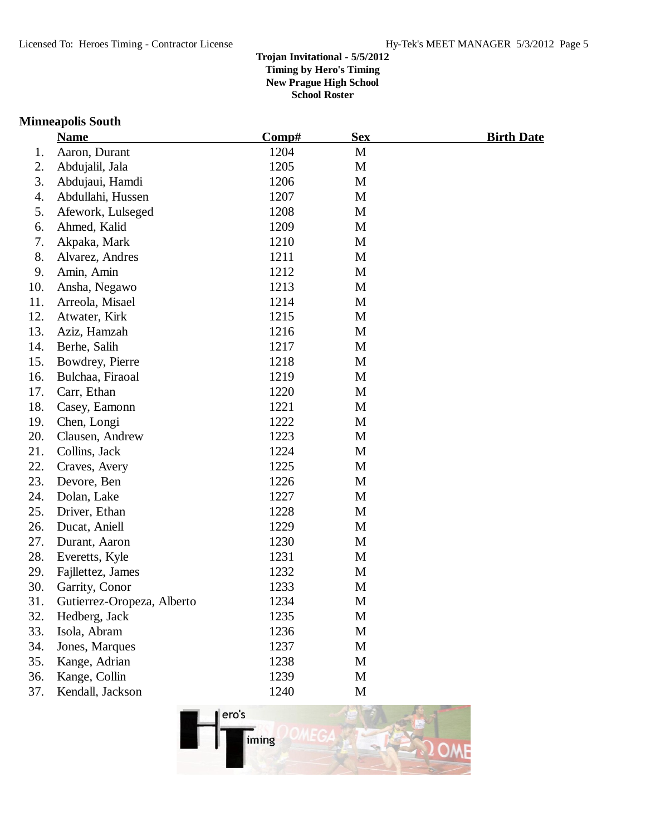## **Minneapolis South**

|     | <b>Name</b>                | Comp# | <b>Sex</b>  | <b>Birth Date</b> |
|-----|----------------------------|-------|-------------|-------------------|
| 1.  | Aaron, Durant              | 1204  | M           |                   |
| 2.  | Abdujalil, Jala            | 1205  | M           |                   |
| 3.  | Abdujaui, Hamdi            | 1206  | M           |                   |
| 4.  | Abdullahi, Hussen          | 1207  | M           |                   |
| 5.  | Afework, Lulseged          | 1208  | M           |                   |
| 6.  | Ahmed, Kalid               | 1209  | M           |                   |
| 7.  | Akpaka, Mark               | 1210  | M           |                   |
| 8.  | Alvarez, Andres            | 1211  | M           |                   |
| 9.  | Amin, Amin                 | 1212  | M           |                   |
| 10. | Ansha, Negawo              | 1213  | M           |                   |
| 11. | Arreola, Misael            | 1214  | M           |                   |
| 12. | Atwater, Kirk              | 1215  | M           |                   |
| 13. | Aziz, Hamzah               | 1216  | M           |                   |
| 14. | Berhe, Salih               | 1217  | M           |                   |
| 15. | Bowdrey, Pierre            | 1218  | M           |                   |
| 16. | Bulchaa, Firaoal           | 1219  | M           |                   |
| 17. | Carr, Ethan                | 1220  | M           |                   |
| 18. | Casey, Eamonn              | 1221  | M           |                   |
| 19. | Chen, Longi                | 1222  | M           |                   |
| 20. | Clausen, Andrew            | 1223  | M           |                   |
| 21. | Collins, Jack              | 1224  | M           |                   |
| 22. | Craves, Avery              | 1225  | M           |                   |
| 23. | Devore, Ben                | 1226  | M           |                   |
| 24. | Dolan, Lake                | 1227  | M           |                   |
| 25. | Driver, Ethan              | 1228  | M           |                   |
| 26. | Ducat, Aniell              | 1229  | M           |                   |
| 27. | Durant, Aaron              | 1230  | M           |                   |
| 28. | Everetts, Kyle             | 1231  | M           |                   |
| 29. | Fajllettez, James          | 1232  | M           |                   |
| 30. | Garrity, Conor             | 1233  | M           |                   |
| 31  | Gutierrez-Oropeza, Alberto | 1234  | M           |                   |
| 32. | Hedberg, Jack              | 1235  | M           |                   |
| 33. | Isola, Abram               | 1236  | M           |                   |
| 34. | Jones, Marques             | 1237  | M           |                   |
| 35. | Kange, Adrian              | 1238  | $\mathbf M$ |                   |
| 36. | Kange, Collin              | 1239  | M           |                   |
| 37. | Kendall, Jackson           | 1240  | M           |                   |
|     |                            |       |             |                   |

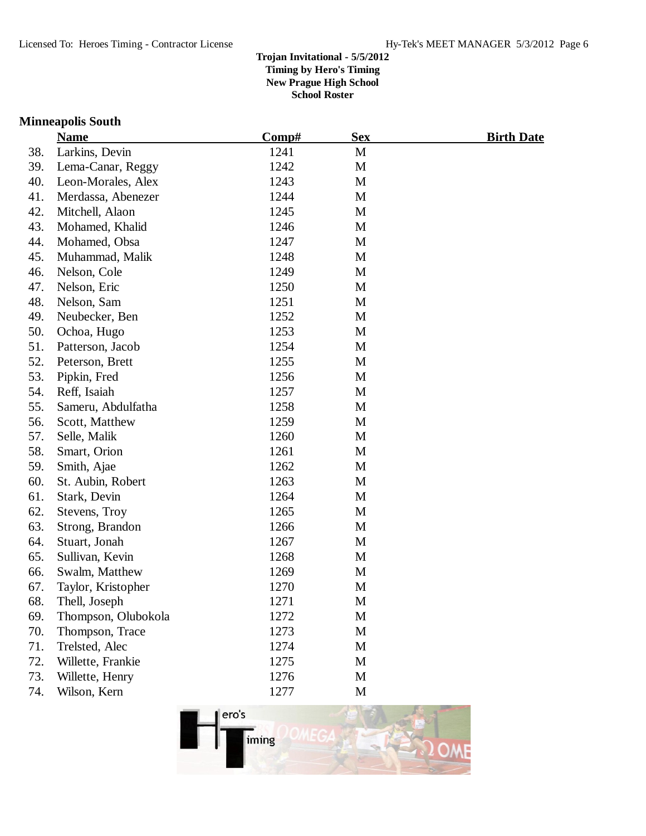## **Minneapolis South**

|     | <b>Name</b>         | Comp# | <b>Sex</b> | <b>Birth Date</b> |
|-----|---------------------|-------|------------|-------------------|
| 38. | Larkins, Devin      | 1241  | M          |                   |
| 39. | Lema-Canar, Reggy   | 1242  | M          |                   |
| 40. | Leon-Morales, Alex  | 1243  | M          |                   |
| 41. | Merdassa, Abenezer  | 1244  | M          |                   |
| 42. | Mitchell, Alaon     | 1245  | M          |                   |
| 43. | Mohamed, Khalid     | 1246  | M          |                   |
| 44. | Mohamed, Obsa       | 1247  | M          |                   |
| 45. | Muhammad, Malik     | 1248  | M          |                   |
| 46. | Nelson, Cole        | 1249  | M          |                   |
| 47. | Nelson, Eric        | 1250  | M          |                   |
| 48. | Nelson, Sam         | 1251  | M          |                   |
| 49. | Neubecker, Ben      | 1252  | M          |                   |
| 50. | Ochoa, Hugo         | 1253  | M          |                   |
| 51. | Patterson, Jacob    | 1254  | M          |                   |
| 52. | Peterson, Brett     | 1255  | M          |                   |
| 53. | Pipkin, Fred        | 1256  | M          |                   |
| 54. | Reff, Isaiah        | 1257  | M          |                   |
| 55. | Sameru, Abdulfatha  | 1258  | M          |                   |
| 56. | Scott, Matthew      | 1259  | M          |                   |
| 57. | Selle, Malik        | 1260  | M          |                   |
| 58. | Smart, Orion        | 1261  | M          |                   |
| 59. | Smith, Ajae         | 1262  | M          |                   |
| 60. | St. Aubin, Robert   | 1263  | M          |                   |
| 61. | Stark, Devin        | 1264  | M          |                   |
| 62. | Stevens, Troy       | 1265  | M          |                   |
| 63. | Strong, Brandon     | 1266  | M          |                   |
| 64. | Stuart, Jonah       | 1267  | M          |                   |
| 65. | Sullivan, Kevin     | 1268  | M          |                   |
| 66. | Swalm, Matthew      | 1269  | M          |                   |
| 67. | Taylor, Kristopher  | 1270  | M          |                   |
| 68. | Thell, Joseph       | 1271  | M          |                   |
| 69. | Thompson, Olubokola | 1272  | M          |                   |
| 70. | Thompson, Trace     | 1273  | M          |                   |
| 71. | Trelsted, Alec      | 1274  | M          |                   |
| 72. | Willette, Frankie   | 1275  | M          |                   |
| 73. | Willette, Henry     | 1276  | M          |                   |
| 74. | Wilson, Kern        | 1277  | M          |                   |

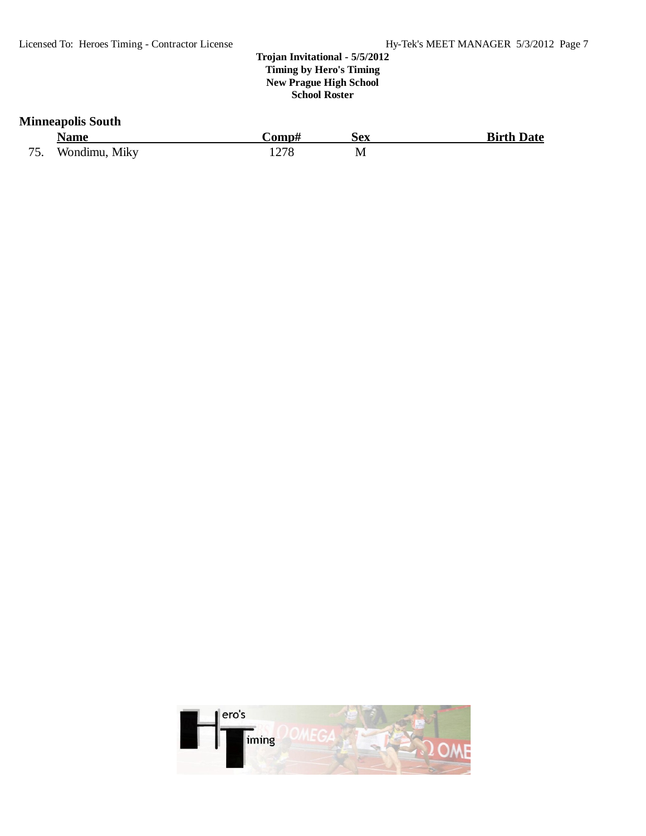## **Minneapolis South**

|     | <b>Name</b>   | ∴omp# | Sex | <b>Birth Date</b> |
|-----|---------------|-------|-----|-------------------|
| 75. | Wondimu, Miky | 1278  | М   |                   |

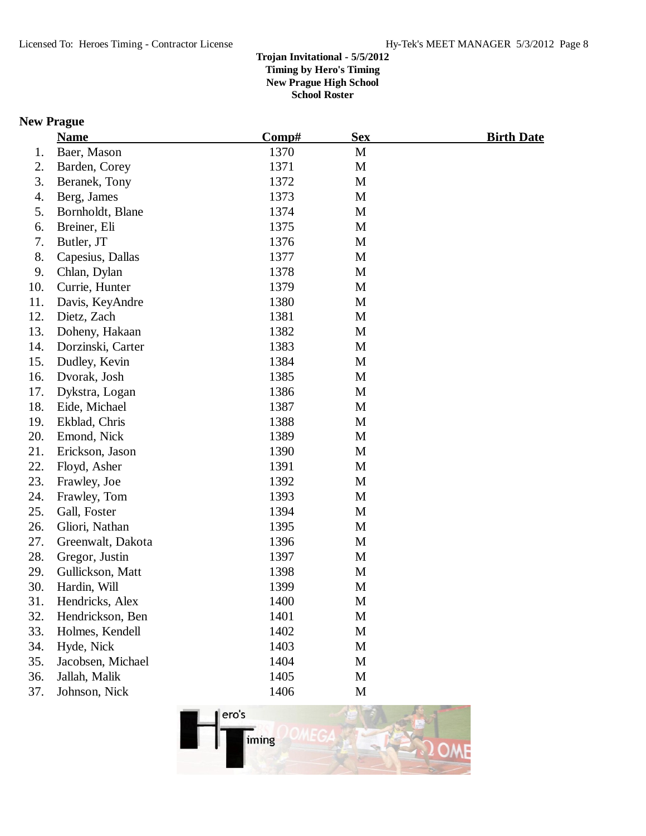## **New Prague**

|     | <b>Name</b>       | Comp# | <b>Sex</b>  | <u>Birth Date</u> |
|-----|-------------------|-------|-------------|-------------------|
| 1.  | Baer, Mason       | 1370  | $\mathbf M$ |                   |
| 2.  | Barden, Corey     | 1371  | M           |                   |
| 3.  | Beranek, Tony     | 1372  | M           |                   |
| 4.  | Berg, James       | 1373  | M           |                   |
| 5.  | Bornholdt, Blane  | 1374  | M           |                   |
| 6.  | Breiner, Eli      | 1375  | M           |                   |
| 7.  | Butler, JT        | 1376  | M           |                   |
| 8.  | Capesius, Dallas  | 1377  | M           |                   |
| 9.  | Chlan, Dylan      | 1378  | M           |                   |
| 10. | Currie, Hunter    | 1379  | M           |                   |
| 11. | Davis, KeyAndre   | 1380  | M           |                   |
| 12. | Dietz, Zach       | 1381  | M           |                   |
| 13. | Doheny, Hakaan    | 1382  | M           |                   |
| 14. | Dorzinski, Carter | 1383  | M           |                   |
| 15. | Dudley, Kevin     | 1384  | M           |                   |
| 16. | Dvorak, Josh      | 1385  | M           |                   |
| 17. | Dykstra, Logan    | 1386  | M           |                   |
| 18. | Eide, Michael     | 1387  | M           |                   |
| 19. | Ekblad, Chris     | 1388  | M           |                   |
| 20. | Emond, Nick       | 1389  | M           |                   |
| 21. | Erickson, Jason   | 1390  | M           |                   |
| 22. | Floyd, Asher      | 1391  | M           |                   |
| 23. | Frawley, Joe      | 1392  | M           |                   |
| 24. | Frawley, Tom      | 1393  | M           |                   |
| 25. | Gall, Foster      | 1394  | M           |                   |
| 26. | Gliori, Nathan    | 1395  | M           |                   |
| 27. | Greenwalt, Dakota | 1396  | M           |                   |
| 28. | Gregor, Justin    | 1397  | M           |                   |
| 29. | Gullickson, Matt  | 1398  | M           |                   |
| 30. | Hardin, Will      | 1399  | M           |                   |
| 31. | Hendricks, Alex   | 1400  | M           |                   |
| 32. | Hendrickson, Ben  | 1401  | M           |                   |
| 33. | Holmes, Kendell   | 1402  | $\mathbf M$ |                   |
| 34. | Hyde, Nick        | 1403  | M           |                   |
| 35. | Jacobsen, Michael | 1404  | M           |                   |
| 36. | Jallah, Malik     | 1405  | M           |                   |
| 37. | Johnson, Nick     | 1406  | $\mathbf M$ |                   |

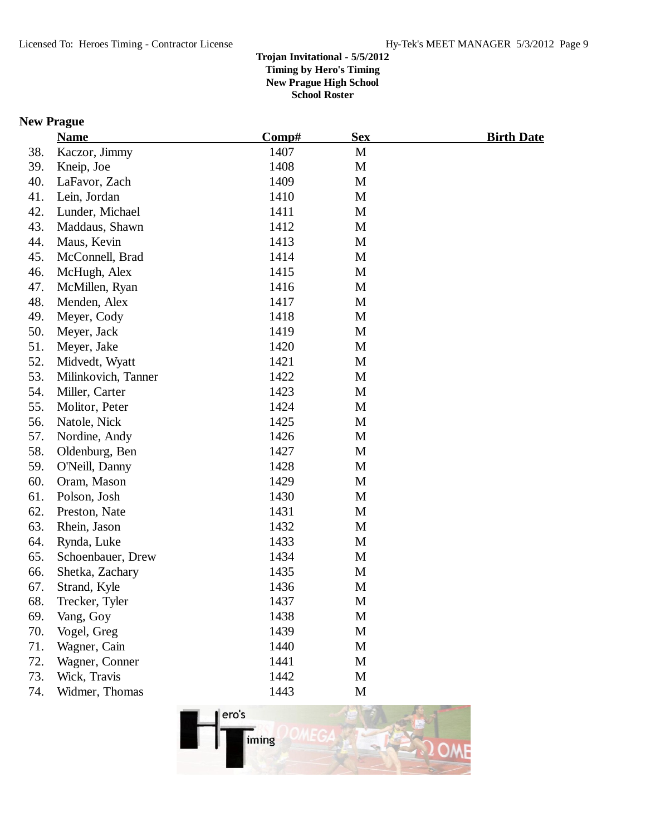## **New Prague**

|     | <b>Name</b>         | Comp# | <b>Sex</b>  | <b>Birth Date</b> |
|-----|---------------------|-------|-------------|-------------------|
| 38. | Kaczor, Jimmy       | 1407  | M           |                   |
| 39. | Kneip, Joe          | 1408  | M           |                   |
| 40. | LaFavor, Zach       | 1409  | M           |                   |
| 41. | Lein, Jordan        | 1410  | M           |                   |
| 42. | Lunder, Michael     | 1411  | M           |                   |
| 43. | Maddaus, Shawn      | 1412  | M           |                   |
| 44. | Maus, Kevin         | 1413  | M           |                   |
| 45. | McConnell, Brad     | 1414  | M           |                   |
| 46. | McHugh, Alex        | 1415  | M           |                   |
| 47. | McMillen, Ryan      | 1416  | M           |                   |
| 48. | Menden, Alex        | 1417  | M           |                   |
| 49. | Meyer, Cody         | 1418  | M           |                   |
| 50. | Meyer, Jack         | 1419  | M           |                   |
| 51. | Meyer, Jake         | 1420  | M           |                   |
| 52. | Midvedt, Wyatt      | 1421  | M           |                   |
| 53. | Milinkovich, Tanner | 1422  | M           |                   |
| 54. | Miller, Carter      | 1423  | M           |                   |
| 55. | Molitor, Peter      | 1424  | M           |                   |
| 56. | Natole, Nick        | 1425  | M           |                   |
| 57. | Nordine, Andy       | 1426  | M           |                   |
| 58. | Oldenburg, Ben      | 1427  | M           |                   |
| 59. | O'Neill, Danny      | 1428  | M           |                   |
| 60. | Oram, Mason         | 1429  | M           |                   |
| 61. | Polson, Josh        | 1430  | M           |                   |
| 62. | Preston, Nate       | 1431  | M           |                   |
| 63. | Rhein, Jason        | 1432  | M           |                   |
| 64. | Rynda, Luke         | 1433  | M           |                   |
| 65. | Schoenbauer, Drew   | 1434  | M           |                   |
| 66. | Shetka, Zachary     | 1435  | M           |                   |
| 67. | Strand, Kyle        | 1436  | M           |                   |
| 68. | Trecker, Tyler      | 1437  | M           |                   |
| 69. | Vang, Goy           | 1438  | M           |                   |
| 70. | Vogel, Greg         | 1439  | M           |                   |
| 71. | Wagner, Cain        | 1440  | M           |                   |
| 72. | Wagner, Conner      | 1441  | M           |                   |
| 73. | Wick, Travis        | 1442  | M           |                   |
| 74. | Widmer, Thomas      | 1443  | $\mathbf M$ |                   |

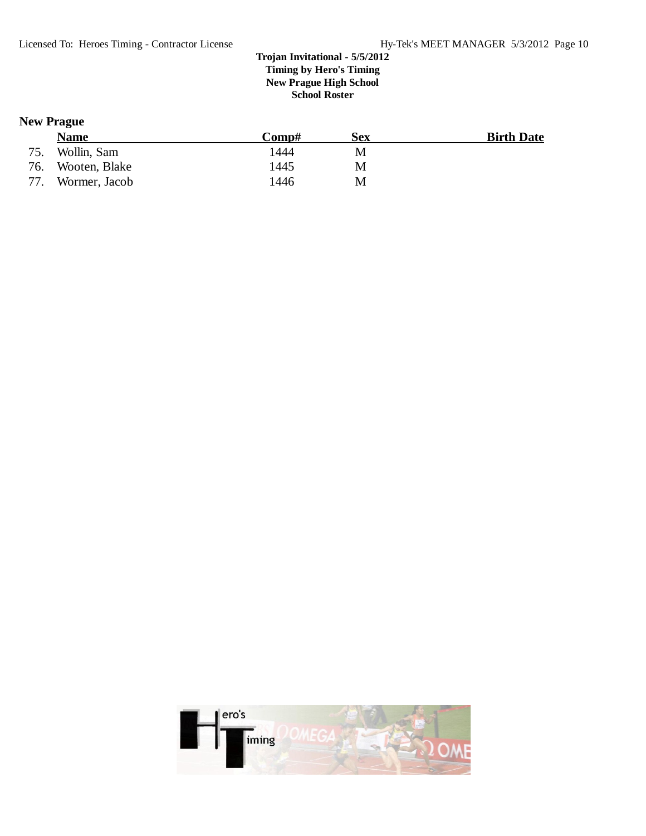## **New Prague**

|     | Name          | $\bf Comp\#$ | Sex | <b>Birth Date</b> |
|-----|---------------|--------------|-----|-------------------|
| 75. | Wollin, Sam   | 1444         | M   |                   |
| 76. | Wooten, Blake | 1445         | M   |                   |
| 77. | Wormer, Jacob | 1446         | M   |                   |

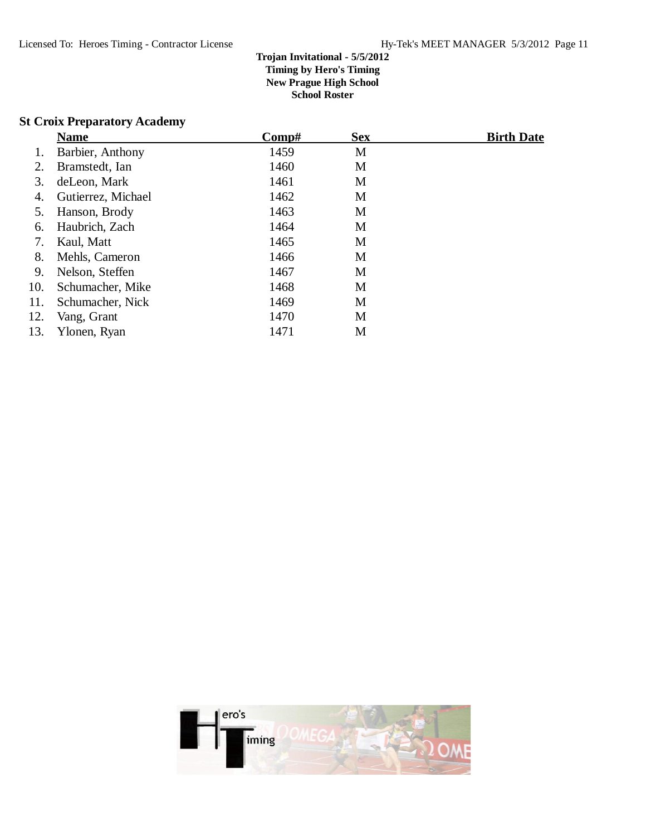## **St Croix Preparatory Academy**

|     | <b>Name</b>        | $\bf Comp\#$ | <b>Sex</b> | <b>Birth Date</b> |
|-----|--------------------|--------------|------------|-------------------|
| 1.  | Barbier, Anthony   | 1459         | M          |                   |
| 2.  | Bramstedt, Ian     | 1460         | M          |                   |
| 3.  | deLeon, Mark       | 1461         | M          |                   |
| 4.  | Gutierrez, Michael | 1462         | M          |                   |
| 5.  | Hanson, Brody      | 1463         | M          |                   |
| 6.  | Haubrich, Zach     | 1464         | M          |                   |
| 7.  | Kaul, Matt         | 1465         | M          |                   |
| 8.  | Mehls, Cameron     | 1466         | M          |                   |
| 9.  | Nelson, Steffen    | 1467         | M          |                   |
| 10. | Schumacher, Mike   | 1468         | M          |                   |
| 11. | Schumacher, Nick   | 1469         | M          |                   |
| 12. | Vang, Grant        | 1470         | M          |                   |
| 13. | Ylonen, Ryan       | 1471         | M          |                   |

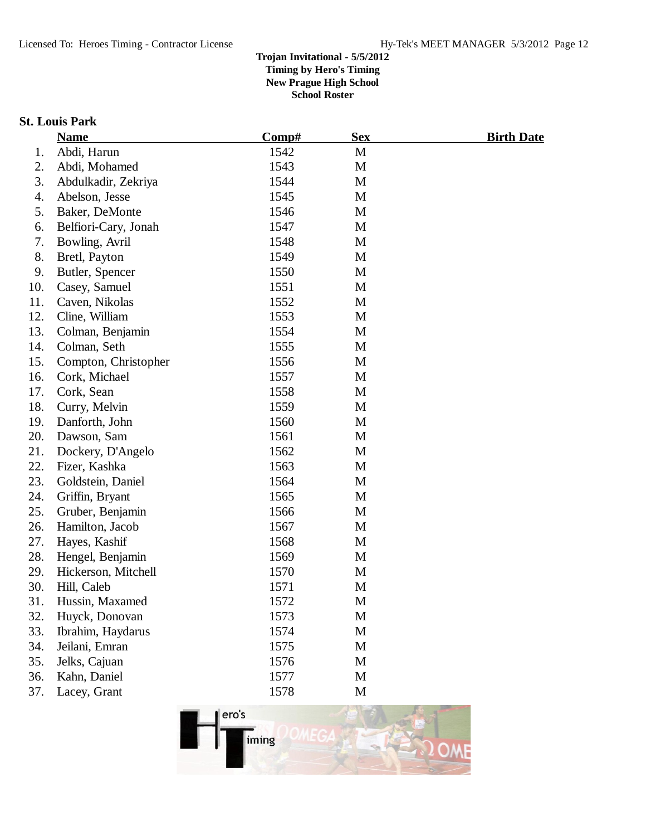## **St. Louis Park**

|     | <b>Name</b>          | Comp# | <b>Sex</b>   | <b>Birth Date</b> |
|-----|----------------------|-------|--------------|-------------------|
| 1.  | Abdi, Harun          | 1542  | $\mathbf{M}$ |                   |
| 2.  | Abdi, Mohamed        | 1543  | M            |                   |
| 3.  | Abdulkadir, Zekriya  | 1544  | M            |                   |
| 4.  | Abelson, Jesse       | 1545  | M            |                   |
| 5.  | Baker, DeMonte       | 1546  | M            |                   |
| 6.  | Belfiori-Cary, Jonah | 1547  | M            |                   |
| 7.  | Bowling, Avril       | 1548  | M            |                   |
| 8.  | Bretl, Payton        | 1549  | M            |                   |
| 9.  | Butler, Spencer      | 1550  | M            |                   |
| 10. | Casey, Samuel        | 1551  | M            |                   |
| 11. | Caven, Nikolas       | 1552  | M            |                   |
| 12. | Cline, William       | 1553  | M            |                   |
| 13. | Colman, Benjamin     | 1554  | M            |                   |
| 14. | Colman, Seth         | 1555  | M            |                   |
| 15. | Compton, Christopher | 1556  | M            |                   |
| 16. | Cork, Michael        | 1557  | M            |                   |
| 17. | Cork, Sean           | 1558  | M            |                   |
| 18. | Curry, Melvin        | 1559  | M            |                   |
| 19. | Danforth, John       | 1560  | M            |                   |
| 20. | Dawson, Sam          | 1561  | M            |                   |
| 21. | Dockery, D'Angelo    | 1562  | M            |                   |
| 22. | Fizer, Kashka        | 1563  | M            |                   |
| 23. | Goldstein, Daniel    | 1564  | M            |                   |
| 24. | Griffin, Bryant      | 1565  | M            |                   |
| 25. | Gruber, Benjamin     | 1566  | M            |                   |
| 26. | Hamilton, Jacob      | 1567  | M            |                   |
| 27. | Hayes, Kashif        | 1568  | M            |                   |
| 28. | Hengel, Benjamin     | 1569  | M            |                   |
| 29. | Hickerson, Mitchell  | 1570  | M            |                   |
| 30. | Hill, Caleb          | 1571  | M            |                   |
| 31. | Hussin, Maxamed      | 1572  | M            |                   |
| 32. | Huyck, Donovan       | 1573  | M            |                   |
| 33. | Ibrahim, Haydarus    | 1574  | M            |                   |
| 34. | Jeilani, Emran       | 1575  | M            |                   |
| 35. | Jelks, Cajuan        | 1576  | $\mathbf M$  |                   |
| 36. | Kahn, Daniel         | 1577  | M            |                   |
| 37. | Lacey, Grant         | 1578  | M            |                   |

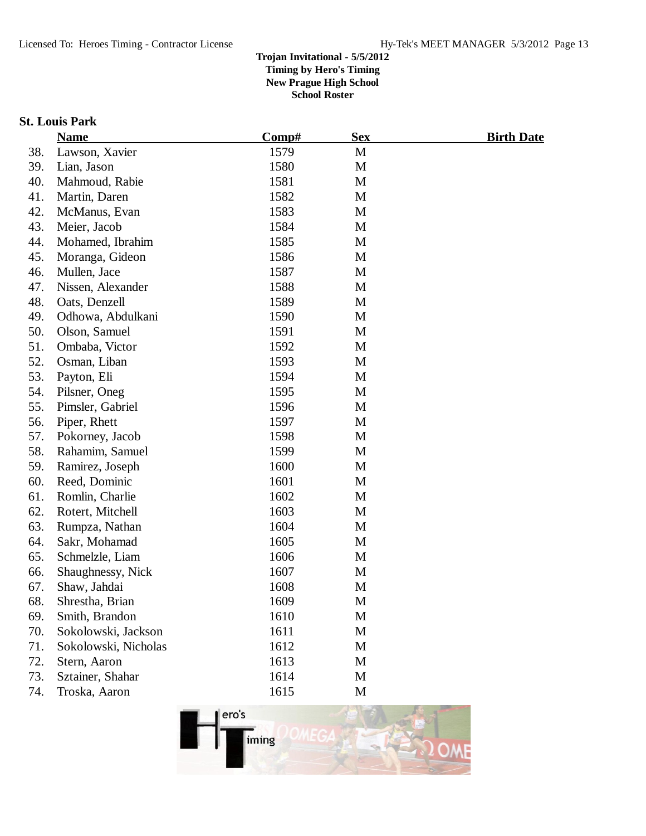## **St. Louis Park**

|     | <b>Name</b>          | Comp# | <b>Sex</b> | <b>Birth Date</b> |
|-----|----------------------|-------|------------|-------------------|
| 38. | Lawson, Xavier       | 1579  | M          |                   |
| 39. | Lian, Jason          | 1580  | M          |                   |
| 40. | Mahmoud, Rabie       | 1581  | M          |                   |
| 41. | Martin, Daren        | 1582  | M          |                   |
| 42. | McManus, Evan        | 1583  | M          |                   |
| 43. | Meier, Jacob         | 1584  | M          |                   |
| 44. | Mohamed, Ibrahim     | 1585  | M          |                   |
| 45. | Moranga, Gideon      | 1586  | M          |                   |
| 46. | Mullen, Jace         | 1587  | M          |                   |
| 47. | Nissen, Alexander    | 1588  | M          |                   |
| 48. | Oats, Denzell        | 1589  | M          |                   |
| 49. | Odhowa, Abdulkani    | 1590  | M          |                   |
| 50. | Olson, Samuel        | 1591  | M          |                   |
| 51. | Ombaba, Victor       | 1592  | M          |                   |
| 52. | Osman, Liban         | 1593  | M          |                   |
| 53. | Payton, Eli          | 1594  | M          |                   |
| 54. | Pilsner, Oneg        | 1595  | M          |                   |
| 55. | Pimsler, Gabriel     | 1596  | M          |                   |
| 56. | Piper, Rhett         | 1597  | M          |                   |
| 57. | Pokorney, Jacob      | 1598  | M          |                   |
| 58. | Rahamim, Samuel      | 1599  | M          |                   |
| 59. | Ramirez, Joseph      | 1600  | M          |                   |
| 60. | Reed, Dominic        | 1601  | M          |                   |
| 61. | Romlin, Charlie      | 1602  | M          |                   |
| 62. | Rotert, Mitchell     | 1603  | M          |                   |
| 63. | Rumpza, Nathan       | 1604  | M          |                   |
| 64. | Sakr, Mohamad        | 1605  | M          |                   |
| 65. | Schmelzle, Liam      | 1606  | M          |                   |
| 66. | Shaughnessy, Nick    | 1607  | M          |                   |
| 67. | Shaw, Jahdai         | 1608  | M          |                   |
| 68. | Shrestha, Brian      | 1609  | M          |                   |
| 69. | Smith, Brandon       | 1610  | M          |                   |
| 70. | Sokolowski, Jackson  | 1611  | M          |                   |
| 71. | Sokolowski, Nicholas | 1612  | M          |                   |
| 72. | Stern, Aaron         | 1613  | M          |                   |
| 73. | Sztainer, Shahar     | 1614  | M          |                   |
| 74. | Troska, Aaron        | 1615  | M          |                   |
|     |                      |       |            |                   |

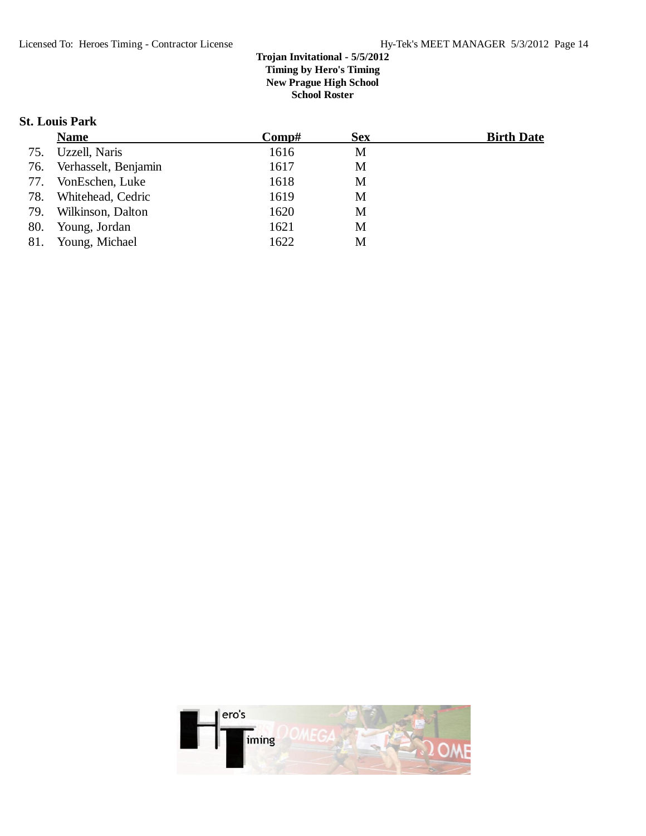### **St. Louis Park**

|     | <b>Name</b>          | $\bf Comp\#$ | <b>Sex</b> | <b>Birth Date</b> |
|-----|----------------------|--------------|------------|-------------------|
| 75. | Uzzell, Naris        | 1616         | M          |                   |
| 76. | Verhasselt, Benjamin | 1617         | M          |                   |
| 77. | VonEschen, Luke      | 1618         | M          |                   |
| 78. | Whitehead, Cedric    | 1619         | M          |                   |
| 79. | Wilkinson, Dalton    | 1620         | M          |                   |
| 80. | Young, Jordan        | 1621         | M          |                   |
| 81. | Young, Michael       | 1622         | M          |                   |